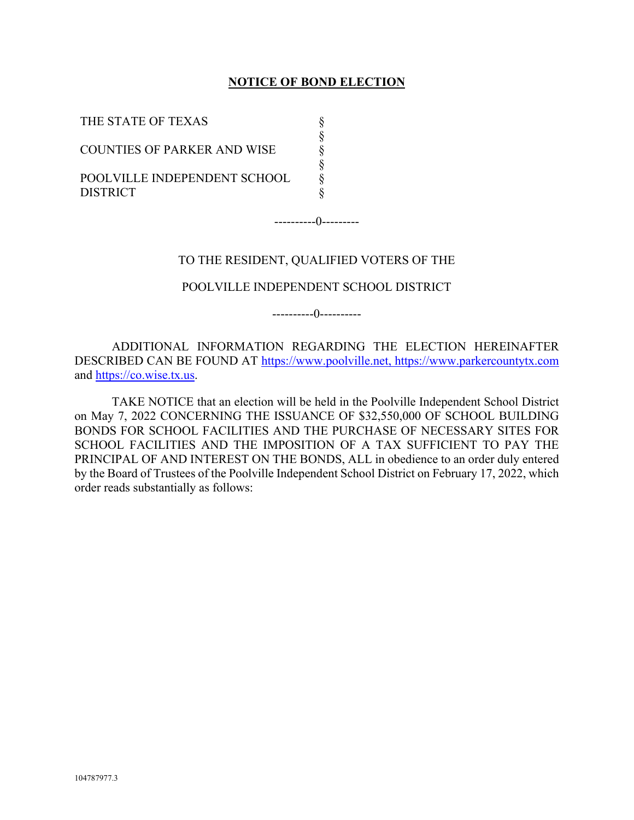## **NOTICE OF BOND ELECTION**

| THE STATE OF TEXAS                              |  |
|-------------------------------------------------|--|
| <b>COUNTIES OF PARKER AND WISE</b>              |  |
| POOLVILLE INDEPENDENT SCHOOL<br><b>DISTRICT</b> |  |

----------0---------

### TO THE RESIDENT, QUALIFIED VOTERS OF THE

## POOLVILLE INDEPENDENT SCHOOL DISTRICT

----------0----------

ADDITIONAL INFORMATION REGARDING THE ELECTION HEREINAFTER DESCRIBED CAN BE FOUND AT https://www.poolville.net, https://www.parkercountytx.com and https://co.wise.tx.us.

TAKE NOTICE that an election will be held in the Poolville Independent School District on May 7, 2022 CONCERNING THE ISSUANCE OF \$32,550,000 OF SCHOOL BUILDING BONDS FOR SCHOOL FACILITIES AND THE PURCHASE OF NECESSARY SITES FOR SCHOOL FACILITIES AND THE IMPOSITION OF A TAX SUFFICIENT TO PAY THE PRINCIPAL OF AND INTEREST ON THE BONDS, ALL in obedience to an order duly entered by the Board of Trustees of the Poolville Independent School District on February 17, 2022, which order reads substantially as follows: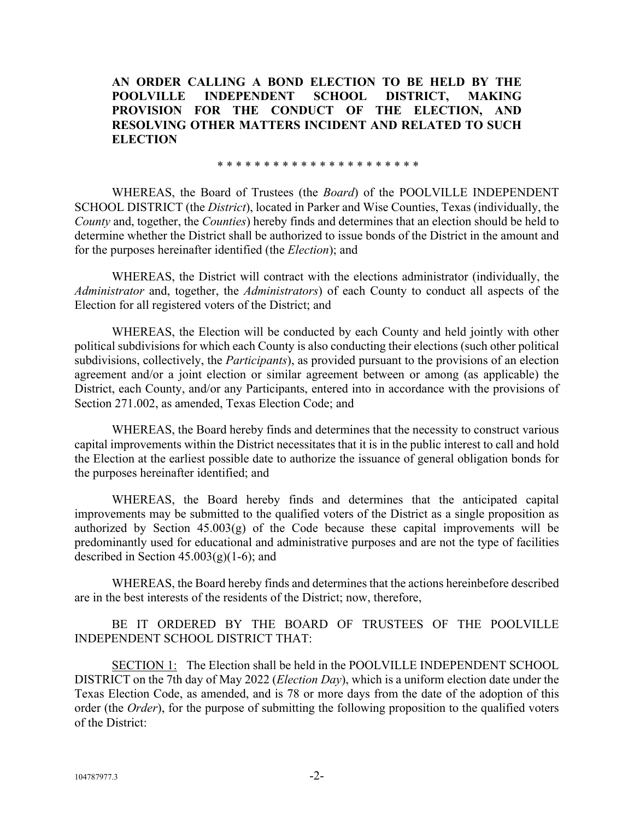**AN ORDER CALLING A BOND ELECTION TO BE HELD BY THE POOLVILLE INDEPENDENT SCHOOL DISTRICT, MAKING PROVISION FOR THE CONDUCT OF THE ELECTION, AND RESOLVING OTHER MATTERS INCIDENT AND RELATED TO SUCH ELECTION** 

\* \* \* \* \* \* \* \* \* \* \* \* \* \* \* \* \* \* \* \* \* \*

WHEREAS, the Board of Trustees (the *Board*) of the POOLVILLE INDEPENDENT SCHOOL DISTRICT (the *District*), located in Parker and Wise Counties, Texas (individually, the *County* and, together, the *Counties*) hereby finds and determines that an election should be held to determine whether the District shall be authorized to issue bonds of the District in the amount and for the purposes hereinafter identified (the *Election*); and

WHEREAS, the District will contract with the elections administrator (individually, the *Administrator* and, together, the *Administrators*) of each County to conduct all aspects of the Election for all registered voters of the District; and

WHEREAS, the Election will be conducted by each County and held jointly with other political subdivisions for which each County is also conducting their elections (such other political subdivisions, collectively, the *Participants*), as provided pursuant to the provisions of an election agreement and/or a joint election or similar agreement between or among (as applicable) the District, each County, and/or any Participants, entered into in accordance with the provisions of Section 271.002, as amended, Texas Election Code; and

WHEREAS, the Board hereby finds and determines that the necessity to construct various capital improvements within the District necessitates that it is in the public interest to call and hold the Election at the earliest possible date to authorize the issuance of general obligation bonds for the purposes hereinafter identified; and

WHEREAS, the Board hereby finds and determines that the anticipated capital improvements may be submitted to the qualified voters of the District as a single proposition as authorized by Section  $45.003(g)$  of the Code because these capital improvements will be predominantly used for educational and administrative purposes and are not the type of facilities described in Section  $45.003(g)(1-6)$ ; and

WHEREAS, the Board hereby finds and determines that the actions hereinbefore described are in the best interests of the residents of the District; now, therefore,

BE IT ORDERED BY THE BOARD OF TRUSTEES OF THE POOLVILLE INDEPENDENT SCHOOL DISTRICT THAT:

SECTION 1: The Election shall be held in the POOLVILLE INDEPENDENT SCHOOL DISTRICT on the 7th day of May 2022 (*Election Day*), which is a uniform election date under the Texas Election Code, as amended, and is 78 or more days from the date of the adoption of this order (the *Order*), for the purpose of submitting the following proposition to the qualified voters of the District: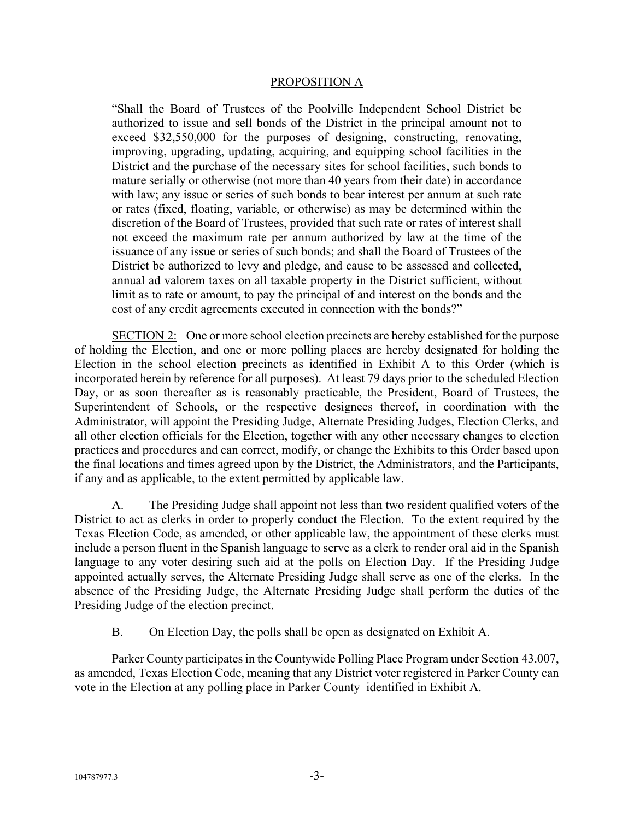### PROPOSITION A

"Shall the Board of Trustees of the Poolville Independent School District be authorized to issue and sell bonds of the District in the principal amount not to exceed \$32,550,000 for the purposes of designing, constructing, renovating, improving, upgrading, updating, acquiring, and equipping school facilities in the District and the purchase of the necessary sites for school facilities, such bonds to mature serially or otherwise (not more than 40 years from their date) in accordance with law; any issue or series of such bonds to bear interest per annum at such rate or rates (fixed, floating, variable, or otherwise) as may be determined within the discretion of the Board of Trustees, provided that such rate or rates of interest shall not exceed the maximum rate per annum authorized by law at the time of the issuance of any issue or series of such bonds; and shall the Board of Trustees of the District be authorized to levy and pledge, and cause to be assessed and collected, annual ad valorem taxes on all taxable property in the District sufficient, without limit as to rate or amount, to pay the principal of and interest on the bonds and the cost of any credit agreements executed in connection with the bonds?"

SECTION 2: One or more school election precincts are hereby established for the purpose of holding the Election, and one or more polling places are hereby designated for holding the Election in the school election precincts as identified in Exhibit A to this Order (which is incorporated herein by reference for all purposes). At least 79 days prior to the scheduled Election Day, or as soon thereafter as is reasonably practicable, the President, Board of Trustees, the Superintendent of Schools, or the respective designees thereof, in coordination with the Administrator, will appoint the Presiding Judge, Alternate Presiding Judges, Election Clerks, and all other election officials for the Election, together with any other necessary changes to election practices and procedures and can correct, modify, or change the Exhibits to this Order based upon the final locations and times agreed upon by the District, the Administrators, and the Participants, if any and as applicable, to the extent permitted by applicable law.

A. The Presiding Judge shall appoint not less than two resident qualified voters of the District to act as clerks in order to properly conduct the Election. To the extent required by the Texas Election Code, as amended, or other applicable law, the appointment of these clerks must include a person fluent in the Spanish language to serve as a clerk to render oral aid in the Spanish language to any voter desiring such aid at the polls on Election Day. If the Presiding Judge appointed actually serves, the Alternate Presiding Judge shall serve as one of the clerks. In the absence of the Presiding Judge, the Alternate Presiding Judge shall perform the duties of the Presiding Judge of the election precinct.

B. On Election Day, the polls shall be open as designated on Exhibit A.

Parker County participates in the Countywide Polling Place Program under Section 43.007, as amended, Texas Election Code, meaning that any District voter registered in Parker County can vote in the Election at any polling place in Parker County identified in Exhibit A.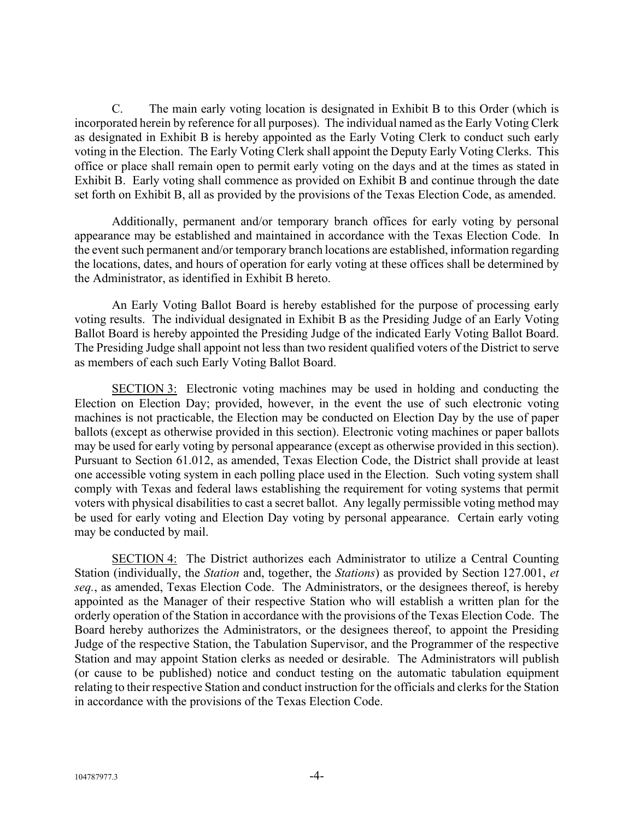C. The main early voting location is designated in Exhibit B to this Order (which is incorporated herein by reference for all purposes). The individual named as the Early Voting Clerk as designated in Exhibit B is hereby appointed as the Early Voting Clerk to conduct such early voting in the Election. The Early Voting Clerk shall appoint the Deputy Early Voting Clerks. This office or place shall remain open to permit early voting on the days and at the times as stated in Exhibit B. Early voting shall commence as provided on Exhibit B and continue through the date set forth on Exhibit B, all as provided by the provisions of the Texas Election Code, as amended.

Additionally, permanent and/or temporary branch offices for early voting by personal appearance may be established and maintained in accordance with the Texas Election Code. In the event such permanent and/or temporary branch locations are established, information regarding the locations, dates, and hours of operation for early voting at these offices shall be determined by the Administrator, as identified in Exhibit B hereto.

An Early Voting Ballot Board is hereby established for the purpose of processing early voting results. The individual designated in Exhibit B as the Presiding Judge of an Early Voting Ballot Board is hereby appointed the Presiding Judge of the indicated Early Voting Ballot Board. The Presiding Judge shall appoint not less than two resident qualified voters of the District to serve as members of each such Early Voting Ballot Board.

SECTION 3: Electronic voting machines may be used in holding and conducting the Election on Election Day; provided, however, in the event the use of such electronic voting machines is not practicable, the Election may be conducted on Election Day by the use of paper ballots (except as otherwise provided in this section). Electronic voting machines or paper ballots may be used for early voting by personal appearance (except as otherwise provided in this section). Pursuant to Section 61.012, as amended, Texas Election Code, the District shall provide at least one accessible voting system in each polling place used in the Election. Such voting system shall comply with Texas and federal laws establishing the requirement for voting systems that permit voters with physical disabilities to cast a secret ballot. Any legally permissible voting method may be used for early voting and Election Day voting by personal appearance. Certain early voting may be conducted by mail.

SECTION 4: The District authorizes each Administrator to utilize a Central Counting Station (individually, the *Station* and, together, the *Stations*) as provided by Section 127.001, *et seq.*, as amended, Texas Election Code. The Administrators, or the designees thereof, is hereby appointed as the Manager of their respective Station who will establish a written plan for the orderly operation of the Station in accordance with the provisions of the Texas Election Code. The Board hereby authorizes the Administrators, or the designees thereof, to appoint the Presiding Judge of the respective Station, the Tabulation Supervisor, and the Programmer of the respective Station and may appoint Station clerks as needed or desirable. The Administrators will publish (or cause to be published) notice and conduct testing on the automatic tabulation equipment relating to their respective Station and conduct instruction for the officials and clerks for the Station in accordance with the provisions of the Texas Election Code.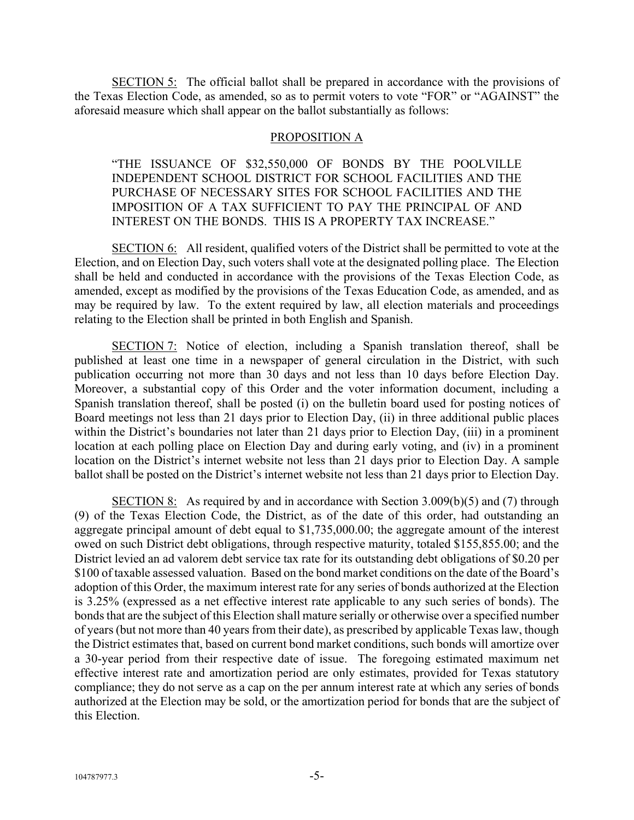SECTION 5: The official ballot shall be prepared in accordance with the provisions of the Texas Election Code, as amended, so as to permit voters to vote "FOR" or "AGAINST" the aforesaid measure which shall appear on the ballot substantially as follows:

### PROPOSITION A

"THE ISSUANCE OF \$32,550,000 OF BONDS BY THE POOLVILLE INDEPENDENT SCHOOL DISTRICT FOR SCHOOL FACILITIES AND THE PURCHASE OF NECESSARY SITES FOR SCHOOL FACILITIES AND THE IMPOSITION OF A TAX SUFFICIENT TO PAY THE PRINCIPAL OF AND INTEREST ON THE BONDS. THIS IS A PROPERTY TAX INCREASE."

SECTION 6: All resident, qualified voters of the District shall be permitted to vote at the Election, and on Election Day, such voters shall vote at the designated polling place. The Election shall be held and conducted in accordance with the provisions of the Texas Election Code, as amended, except as modified by the provisions of the Texas Education Code, as amended, and as may be required by law. To the extent required by law, all election materials and proceedings relating to the Election shall be printed in both English and Spanish.

SECTION 7: Notice of election, including a Spanish translation thereof, shall be published at least one time in a newspaper of general circulation in the District, with such publication occurring not more than 30 days and not less than 10 days before Election Day. Moreover, a substantial copy of this Order and the voter information document, including a Spanish translation thereof, shall be posted (i) on the bulletin board used for posting notices of Board meetings not less than 21 days prior to Election Day, (ii) in three additional public places within the District's boundaries not later than 21 days prior to Election Day, (iii) in a prominent location at each polling place on Election Day and during early voting, and (iv) in a prominent location on the District's internet website not less than 21 days prior to Election Day. A sample ballot shall be posted on the District's internet website not less than 21 days prior to Election Day.

SECTION 8: As required by and in accordance with Section 3.009(b)(5) and (7) through (9) of the Texas Election Code, the District, as of the date of this order, had outstanding an aggregate principal amount of debt equal to \$1,735,000.00; the aggregate amount of the interest owed on such District debt obligations, through respective maturity, totaled \$155,855.00; and the District levied an ad valorem debt service tax rate for its outstanding debt obligations of \$0.20 per \$100 of taxable assessed valuation. Based on the bond market conditions on the date of the Board's adoption of this Order, the maximum interest rate for any series of bonds authorized at the Election is 3.25% (expressed as a net effective interest rate applicable to any such series of bonds). The bonds that are the subject of this Election shall mature serially or otherwise over a specified number of years (but not more than 40 years from their date), as prescribed by applicable Texas law, though the District estimates that, based on current bond market conditions, such bonds will amortize over a 30-year period from their respective date of issue. The foregoing estimated maximum net effective interest rate and amortization period are only estimates, provided for Texas statutory compliance; they do not serve as a cap on the per annum interest rate at which any series of bonds authorized at the Election may be sold, or the amortization period for bonds that are the subject of this Election.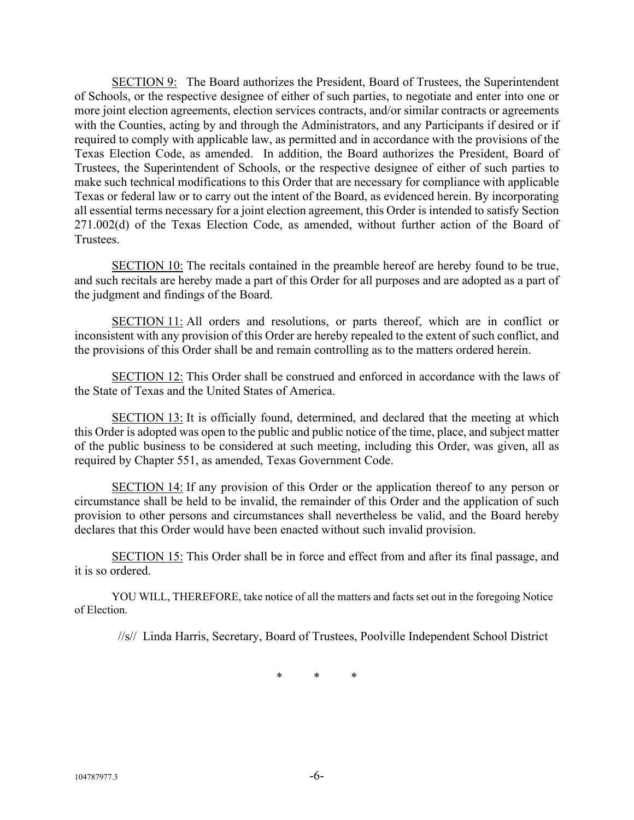SECTION 9: The Board authorizes the President, Board of Trustees, the Superintendent of Schools, or the respective designee of either of such parties, to negotiate and enter into one or more joint election agreements, election services contracts, and/or similar contracts or agreements with the Counties, acting by and through the Administrators, and any Participants if desired or if required to comply with applicable law, as permitted and in accordance with the provisions of the Texas Election Code, as amended. In addition, the Board authorizes the President, Board of Trustees, the Superintendent of Schools, or the respective designee of either of such parties to make such technical modifications to this Order that are necessary for compliance with applicable Texas or federal law or to carry out the intent of the Board, as evidenced herein. By incorporating all essential terms necessary for a joint election agreement, this Order is intended to satisfy Section 271.002(d) of the Texas Election Code, as amended, without further action of the Board of Trustees.

SECTION 10: The recitals contained in the preamble hereof are hereby found to be true, and such recitals are hereby made a part of this Order for all purposes and are adopted as a part of the judgment and findings of the Board.

SECTION 11: All orders and resolutions, or parts thereof, which are in conflict or inconsistent with any provision of this Order are hereby repealed to the extent of such conflict, and the provisions of this Order shall be and remain controlling as to the matters ordered herein.

SECTION 12: This Order shall be construed and enforced in accordance with the laws of the State of Texas and the United States of America.

SECTION 13: It is officially found, determined, and declared that the meeting at which this Order is adopted was open to the public and public notice of the time, place, and subject matter of the public business to be considered at such meeting, including this Order, was given, all as required by Chapter 551, as amended, Texas Government Code.

SECTION 14: If any provision of this Order or the application thereof to any person or circumstance shall be held to be invalid, the remainder of this Order and the application of such provision to other persons and circumstances shall nevertheless be valid, and the Board hereby declares that this Order would have been enacted without such invalid provision.

SECTION 15: This Order shall be in force and effect from and after its final passage, and it is so ordered.

YOU WILL, THEREFORE, take notice of all the matters and facts set out in the foregoing Notice of Election.

//s// Linda Harris, Secretary, Board of Trustees, Poolville Independent School District

\* \* \*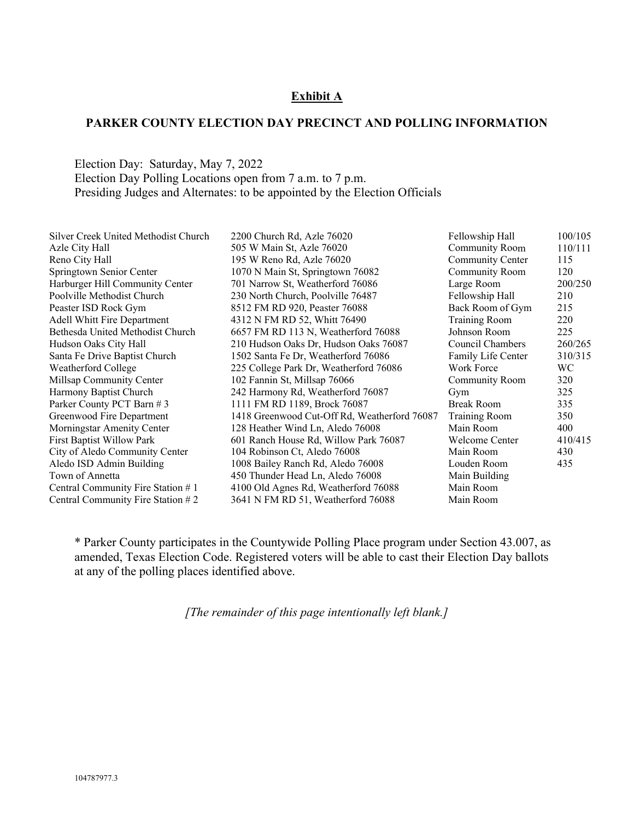## **Exhibit A**

### **PARKER COUNTY ELECTION DAY PRECINCT AND POLLING INFORMATION**

Election Day: Saturday, May 7, 2022 Election Day Polling Locations open from 7 a.m. to 7 p.m. Presiding Judges and Alternates: to be appointed by the Election Officials

| Silver Creek United Methodist Church | 2200 Church Rd, Azle 76020                   | Fellowship Hall       | 100/105 |
|--------------------------------------|----------------------------------------------|-----------------------|---------|
| Azle City Hall                       | 505 W Main St, Azle 76020                    | Community Room        | 110/111 |
| Reno City Hall                       | 195 W Reno Rd, Azle 76020                    | Community Center      | 115     |
| Springtown Senior Center             | 1070 N Main St, Springtown 76082             | Community Room        | 120     |
| Harburger Hill Community Center      | 701 Narrow St, Weatherford 76086             | Large Room            | 200/250 |
| Poolville Methodist Church           | 230 North Church, Poolville 76487            | Fellowship Hall       | 210     |
| Peaster ISD Rock Gym                 | 8512 FM RD 920, Peaster 76088                | Back Room of Gym      | 215     |
| <b>Adell Whitt Fire Department</b>   | 4312 N FM RD 52, Whitt 76490                 | <b>Training Room</b>  | 220     |
| Bethesda United Methodist Church     | 6657 FM RD 113 N, Weatherford 76088          | Johnson Room          | 225     |
| Hudson Oaks City Hall                | 210 Hudson Oaks Dr, Hudson Oaks 76087        | Council Chambers      | 260/265 |
| Santa Fe Drive Baptist Church        | 1502 Santa Fe Dr, Weatherford 76086          | Family Life Center    | 310/315 |
| Weatherford College                  | 225 College Park Dr, Weatherford 76086       | Work Force            | WC.     |
| Millsap Community Center             | 102 Fannin St, Millsap 76066                 | <b>Community Room</b> | 320     |
| Harmony Baptist Church               | 242 Harmony Rd, Weatherford 76087            | Gym                   | 325     |
| Parker County PCT Barn #3            | 1111 FM RD 1189, Brock 76087                 | Break Room            | 335     |
| Greenwood Fire Department            | 1418 Greenwood Cut-Off Rd, Weatherford 76087 | <b>Training Room</b>  | 350     |
| Morningstar Amenity Center           | 128 Heather Wind Ln, Aledo 76008             | Main Room             | 400     |
| <b>First Baptist Willow Park</b>     | 601 Ranch House Rd, Willow Park 76087        | Welcome Center        | 410/415 |
| City of Aledo Community Center       | 104 Robinson Ct, Aledo 76008                 | Main Room             | 430     |
| Aledo ISD Admin Building             | 1008 Bailey Ranch Rd, Aledo 76008            | Louden Room           | 435     |
| Town of Annetta                      | 450 Thunder Head Ln, Aledo 76008             | Main Building         |         |
| Central Community Fire Station #1    | 4100 Old Agnes Rd, Weatherford 76088         | Main Room             |         |
| Central Community Fire Station $#2$  | 3641 N FM RD 51, Weatherford 76088           | Main Room             |         |
|                                      |                                              |                       |         |

\* Parker County participates in the Countywide Polling Place program under Section 43.007, as amended, Texas Election Code. Registered voters will be able to cast their Election Day ballots at any of the polling places identified above.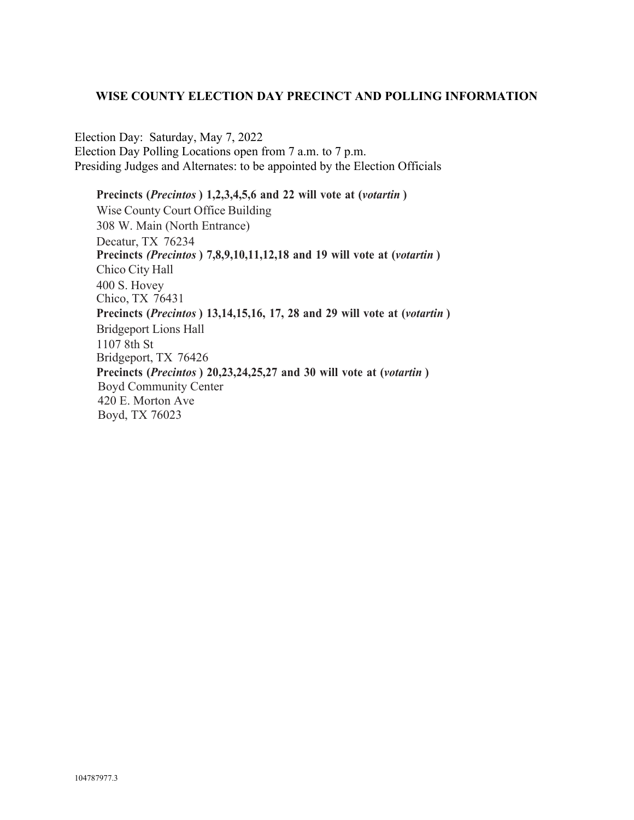## **WISE COUNTY ELECTION DAY PRECINCT AND POLLING INFORMATION**

Election Day: Saturday, May 7, 2022 Election Day Polling Locations open from 7 a.m. to 7 p.m. Presiding Judges and Alternates: to be appointed by the Election Officials

**Precincts (***Precintos* **) 1,2,3,4,5,6 and 22 will vote at (***votartin* **)** Wise County Court Office Building 308 W. Main (North Entrance) Decatur, TX 76234 **Precincts** *(Precintos* **) 7,8,9,10,11,12,18 and 19 will vote at (***votartin* **)** Chico City Hall 400 S. Hovey Chico, TX 76431 **Precincts (***Precintos* **) 13,14,15,16, 17, 28 and 29 will vote at (***votartin* **)** Bridgeport Lions Hall 1107 8th St Bridgeport, TX 76426 **Precincts (***Precintos* **) 20,23,24,25,27 and 30 will vote at (***votartin* **)** Boyd Community Center 420 E. Morton Ave Boyd, TX 76023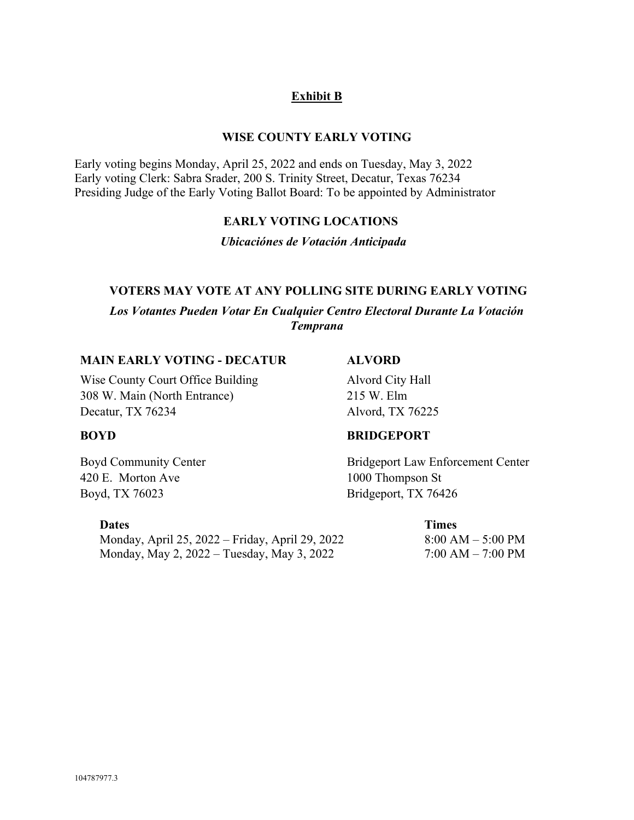# **Exhibit B**

# **WISE COUNTY EARLY VOTING**

Early voting begins Monday, April 25, 2022 and ends on Tuesday, May 3, 2022 Early voting Clerk: Sabra Srader, 200 S. Trinity Street, Decatur, Texas 76234 Presiding Judge of the Early Voting Ballot Board: To be appointed by Administrator

# **EARLY VOTING LOCATIONS**

*Ubicaciónes de Votación Anticipada* 

## **VOTERS MAY VOTE AT ANY POLLING SITE DURING EARLY VOTING**

*Los Votantes Pueden Votar En Cualquier Centro Electoral Durante La Votación Temprana*

### **MAIN EARLY VOTING - DECATUR ALVORD**

Wise County Court Office Building **Alvord City Hall** 308 W. Main (North Entrance) 215 W. Elm Decatur, TX 76234 Alvord, TX 76225

420 E. Morton Ave 1000 Thompson St Boyd, TX 76023 Bridgeport, TX 76426

Monday, April 25, 2022 – Friday, April 29, 2022 8:00 AM – 5:00 PM Monday, May 2, 2022 – Tuesday, May 3, 2022 7:00 AM – 7:00 PM

# **BOYD BRIDGEPORT**

Boyd Community Center **Bridgeport Law Enforcement Center** 

**Dates** Times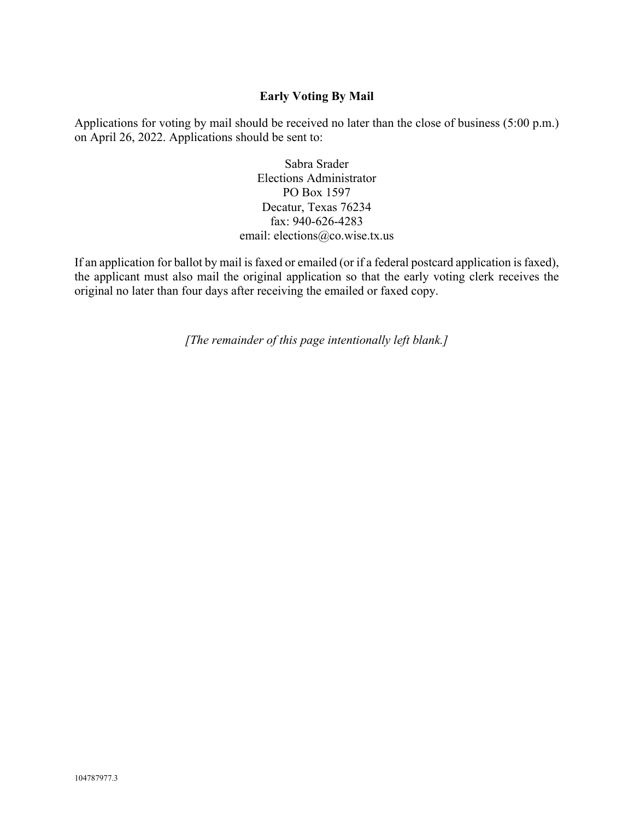# **Early Voting By Mail**

Applications for voting by mail should be received no later than the close of business (5:00 p.m.) on April 26, 2022. Applications should be sent to:

> Sabra Srader Elections Administrator PO Box 1597 Decatur, Texas 76234 fax: 940-626-4283 email: elections@co.wise.tx.us

If an application for ballot by mail is faxed or emailed (or if a federal postcard application is faxed), the applicant must also mail the original application so that the early voting clerk receives the original no later than four days after receiving the emailed or faxed copy.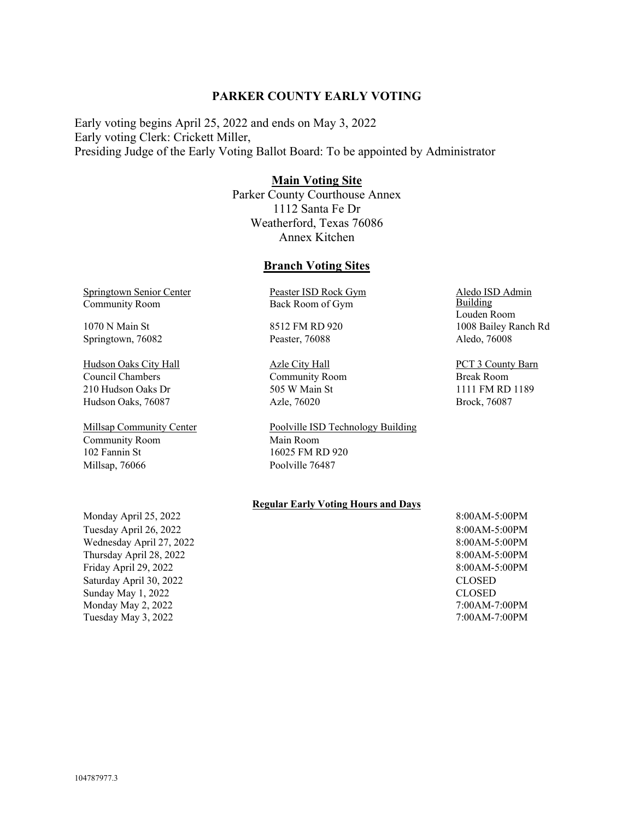### **PARKER COUNTY EARLY VOTING**

Early voting begins April 25, 2022 and ends on May 3, 2022 Early voting Clerk: Crickett Miller, Presiding Judge of the Early Voting Ballot Board: To be appointed by Administrator

### **Main Voting Site**

Parker County Courthouse Annex 1112 Santa Fe Dr Weatherford, Texas 76086 Annex Kitchen

### **Branch Voting Sites**

Springtown Senior Center Community Room

Springtown, 76082 Peaster, 76088 Aledo, 76008

Hudson Oaks City Hall Azle City Hall Azle City Hall PCT 3 County Barn Council Chambers Community Room Break Room 210 Hudson Oaks Dr 505 W Main St 1111 FM RD 1189 Hudson Oaks, 76087 Azle, 76020 Brock, 76087

Community Room 102 Fannin St Millsap, 76066 Poolville 76487

Monday April 25, 2022 Tuesday April 26, 2022 8:00AM-5:00PM Wednesday April 27, 2022 Thursday April 28, 2022 Friday April 29, 2022 8:00AM-5:00PM Saturday April 30, 2022 CLOSED Sunday May 1, 2022 Monday May 2, 2022 Tuesday May 3, 2022 7:00AM-7:00PM

Peaster ISD Rock Gym Back Room of Gym

Millsap Community Center Poolville ISD Technology Building Main Room 16025 FM RD 920

### **Regular Early Voting Hours and Days**

8:00AM-5:00PM 8:00AM-5:00PM 8:00AM-5:00PM CLOSED 7:00AM-7:00PM

Aledo ISD Admin **Building** Louden Room 1070 N Main St **8512 FM RD 920** 1008 Bailey Ranch Rd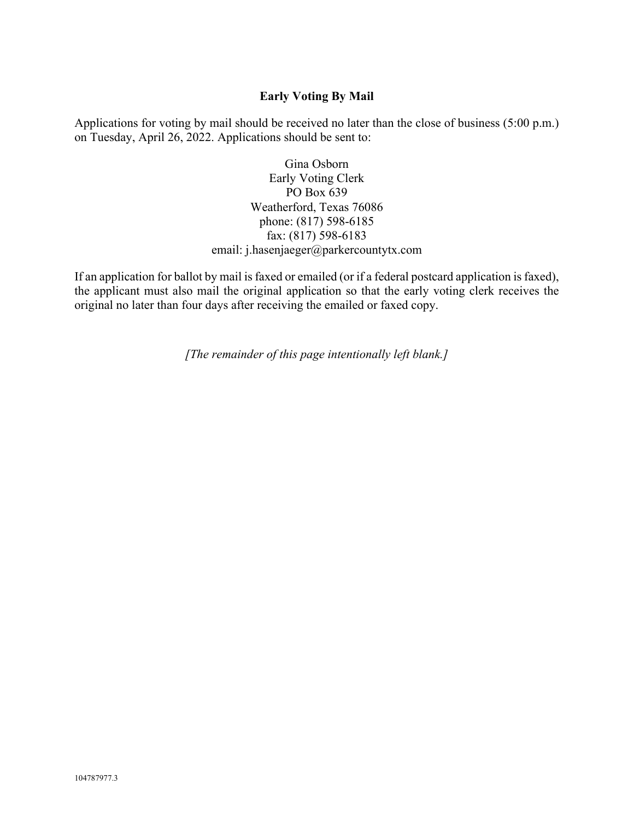# **Early Voting By Mail**

Applications for voting by mail should be received no later than the close of business (5:00 p.m.) on Tuesday, April 26, 2022. Applications should be sent to:

> Gina Osborn Early Voting Clerk PO Box 639 Weatherford, Texas 76086 phone: (817) 598-6185 fax: (817) 598-6183 email: j.hasenjaeger@parkercountytx.com

If an application for ballot by mail is faxed or emailed (or if a federal postcard application is faxed), the applicant must also mail the original application so that the early voting clerk receives the original no later than four days after receiving the emailed or faxed copy.